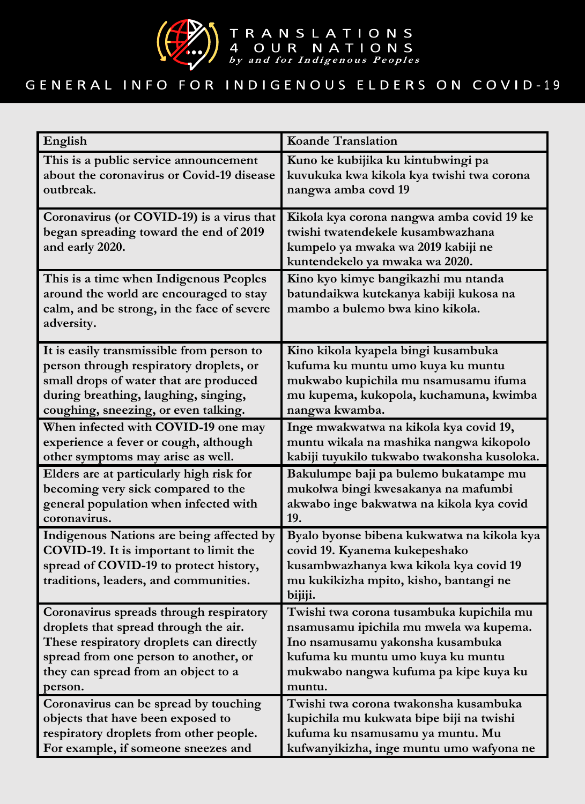

## GENERAL INFO FOR INDIGENOUS ELDERS ON COVID-19

| English                                                                                                                                                              | <b>Koande Translation</b>                                                                                                                                                  |
|----------------------------------------------------------------------------------------------------------------------------------------------------------------------|----------------------------------------------------------------------------------------------------------------------------------------------------------------------------|
| This is a public service announcement                                                                                                                                | Kuno ke kubijika ku kintubwingi pa                                                                                                                                         |
| about the coronavirus or Covid-19 disease                                                                                                                            | kuvukuka kwa kikola kya twishi twa corona                                                                                                                                  |
| outbreak.                                                                                                                                                            | nangwa amba covd 19                                                                                                                                                        |
| Coronavirus (or COVID-19) is a virus that<br>began spreading toward the end of 2019<br>and early 2020.                                                               | Kikola kya corona nangwa amba covid 19 ke<br>twishi twatendekele kusambwazhana<br>kumpelo ya mwaka wa 2019 kabiji ne<br>kuntendekelo ya mwaka wa 2020.                     |
| This is a time when Indigenous Peoples<br>around the world are encouraged to stay<br>calm, and be strong, in the face of severe<br>adversity.                        | Kino kyo kimye bangikazhi mu ntanda<br>batundaikwa kutekanya kabiji kukosa na<br>mambo a bulemo bwa kino kikola.                                                           |
| It is easily transmissible from person to                                                                                                                            | Kino kikola kyapela bingi kusambuka                                                                                                                                        |
| person through respiratory droplets, or                                                                                                                              | kufuma ku muntu umo kuya ku muntu                                                                                                                                          |
| small drops of water that are produced                                                                                                                               | mukwabo kupichila mu nsamusamu ifuma                                                                                                                                       |
| during breathing, laughing, singing,                                                                                                                                 | mu kupema, kukopola, kuchamuna, kwimba                                                                                                                                     |
| coughing, sneezing, or even talking.                                                                                                                                 | nangwa kwamba.                                                                                                                                                             |
| When infected with COVID-19 one may                                                                                                                                  | Inge mwakwatwa na kikola kya covid 19,                                                                                                                                     |
| experience a fever or cough, although                                                                                                                                | muntu wikala na mashika nangwa kikopolo                                                                                                                                    |
| other symptoms may arise as well.                                                                                                                                    | kabiji tuyukilo tukwabo twakonsha kusoloka.                                                                                                                                |
| Elders are at particularly high risk for                                                                                                                             | Bakulumpe baji pa bulemo bukatampe mu                                                                                                                                      |
| becoming very sick compared to the                                                                                                                                   | mukolwa bingi kwesakanya na mafumbi                                                                                                                                        |
| general population when infected with                                                                                                                                | akwabo inge bakwatwa na kikola kya covid                                                                                                                                   |
| coronavirus.                                                                                                                                                         | 19.                                                                                                                                                                        |
| Indigenous Nations are being affected by<br>COVID-19. It is important to limit the<br>spread of COVID-19 to protect history,<br>traditions, leaders, and communities | Byalo byonse bibena kukwatwa na kikola kya<br>covid 19. Kyanema kukepeshako<br>kusambwazhanya kwa kikola kya covid 19<br>mu kukikizha mpito, kisho, bantangi ne<br>bijiji. |
| Coronavirus spreads through respiratory                                                                                                                              | Twishi twa corona tusambuka kupichila mu                                                                                                                                   |
| droplets that spread through the air.                                                                                                                                | nsamusamu ipichila mu mwela wa kupema.                                                                                                                                     |
| These respiratory droplets can directly                                                                                                                              | Ino nsamusamu yakonsha kusambuka                                                                                                                                           |
| spread from one person to another, or                                                                                                                                | kufuma ku muntu umo kuya ku muntu                                                                                                                                          |
| they can spread from an object to a                                                                                                                                  | mukwabo nangwa kufuma pa kipe kuya ku                                                                                                                                      |
| person.                                                                                                                                                              | muntu.                                                                                                                                                                     |
| Coronavirus can be spread by touching                                                                                                                                | Twishi twa corona twakonsha kusambuka                                                                                                                                      |
| objects that have been exposed to                                                                                                                                    | kupichila mu kukwata bipe biji na twishi                                                                                                                                   |
| respiratory droplets from other people.                                                                                                                              | kufuma ku nsamusamu ya muntu. Mu                                                                                                                                           |
| For example, if someone sneezes and                                                                                                                                  | kufwanyikizha, inge muntu umo wafyona ne                                                                                                                                   |